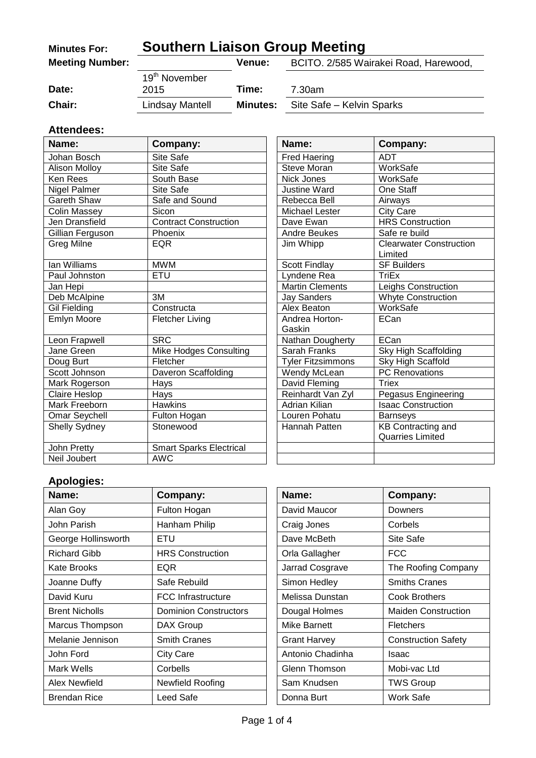| <b>Minutes For:</b>    | <b>Southern Liaison Group Meeting</b> |                 |                                       |
|------------------------|---------------------------------------|-----------------|---------------------------------------|
| <b>Meeting Number:</b> |                                       | <b>Venue:</b>   | BCITO. 2/585 Wairakei Road, Harewood, |
|                        | 19 <sup>th</sup> November             |                 |                                       |
| Date:                  | 2015                                  | Time:           | 7.30am                                |
| Chair:                 | Lindsay Mantell                       | <b>Minutes:</b> | Site Safe - Kelvin Sparks             |

#### **Attendees:**

| Name:                | Company:                       | Name:                    | Company:                                  |
|----------------------|--------------------------------|--------------------------|-------------------------------------------|
| Johan Bosch          | Site Safe                      | <b>Fred Haering</b>      | <b>ADT</b>                                |
| Alison Molloy        | Site Safe                      | <b>Steve Moran</b>       | WorkSafe                                  |
| Ken Rees             | South Base                     | Nick Jones               | WorkSafe                                  |
| Nigel Palmer         | Site Safe                      | <b>Justine Ward</b>      | One Staff                                 |
| <b>Gareth Shaw</b>   | Safe and Sound                 | Rebecca Bell             | Airways                                   |
| <b>Colin Massey</b>  | <b>Sicon</b>                   | Michael Lester           | City Care                                 |
| Jen Dransfield       | <b>Contract Construction</b>   | Dave Ewan                | <b>HRS Construction</b>                   |
| Gillian Ferguson     | Phoenix                        | Andre Beukes             | Safe re build                             |
| Greg Milne           | <b>EQR</b>                     | Jim Whipp                | <b>Clearwater Construction</b><br>Limited |
| lan Williams         | <b>MWM</b>                     | <b>Scott Findlay</b>     | <b>SF Builders</b>                        |
| Paul Johnston        | <b>ETU</b>                     | Lyndene Rea              | <b>TriEx</b>                              |
| Jan Hepi             |                                | <b>Martin Clements</b>   | Leighs Construction                       |
| Deb McAlpine         | 3M                             | <b>Jay Sanders</b>       | <b>Whyte Construction</b>                 |
| <b>Gil Fielding</b>  | Constructa                     | Alex Beaton              | WorkSafe                                  |
| Emlyn Moore          | <b>Fletcher Living</b>         | Andrea Horton-<br>Gaskin | ECan                                      |
| Leon Frapwell        | <b>SRC</b>                     | Nathan Dougherty         | ECan                                      |
| Jane Green           | Mike Hodges Consulting         | Sarah Franks             | Sky High Scaffolding                      |
| Doug Burt            | Fletcher                       | <b>Tyler Fitzsimmons</b> | Sky High Scaffold                         |
| Scott Johnson        | Daveron Scaffolding            | Wendy McLean             | <b>PC Renovations</b>                     |
| Mark Rogerson        | Hays                           | David Fleming            | <b>Triex</b>                              |
| Claire Heslop        | Hays                           | Reinhardt Van Zyl        | Pegasus Engineering                       |
| Mark Freeborn        | <b>Hawkins</b>                 | Adrian Kilian            | <b>Isaac Construction</b>                 |
| Omar Seychell        | Fulton Hogan                   | Louren Pohatu            | <b>Barnseys</b>                           |
| <b>Shelly Sydney</b> | Stonewood                      | Hannah Patten            | <b>KB Contracting and</b>                 |
|                      |                                |                          | <b>Quarries Limited</b>                   |
| John Pretty          | <b>Smart Sparks Electrical</b> |                          |                                           |
| Neil Joubert         | <b>AWC</b>                     |                          |                                           |

| Name:                    | Company:                       |
|--------------------------|--------------------------------|
| <b>Fred Haering</b>      | ADT                            |
| <b>Steve Moran</b>       | WorkSafe                       |
| Nick Jones               | WorkSafe                       |
| <b>Justine Ward</b>      | One Staff                      |
| Rebecca Bell             | Airways                        |
| Michael Lester           | <b>City Care</b>               |
| Dave Ewan                | <b>HRS Construction</b>        |
| Andre Beukes             | Safe re build                  |
| Jim Whipp                | <b>Clearwater Construction</b> |
|                          | Limited                        |
| Scott Findlay            | <b>SF Builders</b>             |
| Lyndene Rea              | <b>TriEx</b>                   |
| <b>Martin Clements</b>   | Leighs Construction            |
| <b>Jay Sanders</b>       | <b>Whyte Construction</b>      |
| Alex Beaton              | <b>WorkSafe</b>                |
| Andrea Horton-           | ECan                           |
| Gaskin                   |                                |
| Nathan Dougherty         | ECan                           |
| Sarah Franks             | Sky High Scaffolding           |
| <b>Tyler Fitzsimmons</b> | Sky High Scaffold              |
| Wendy McLean             | <b>PC Renovations</b>          |
| David Fleming            | <b>Triex</b>                   |
| Reinhardt Van Zyl        | Pegasus Engineering            |
| Adrian Kilian            | <b>Isaac Construction</b>      |
| Louren Pohatu            | <b>Barnseys</b>                |
| Hannah Patten            | <b>KB Contracting and</b>      |
|                          | <b>Quarries Limited</b>        |
|                          |                                |
|                          |                                |

# **Apologies:**

| Name:                 | Company:                     | Name:               | Company:                   |
|-----------------------|------------------------------|---------------------|----------------------------|
| Alan Goy              | Fulton Hogan                 | David Maucor        | Downers                    |
| John Parish           | Hanham Philip                | Craig Jones         | Corbels                    |
| George Hollinsworth   | ETU                          | Dave McBeth         | Site Safe                  |
| <b>Richard Gibb</b>   | <b>HRS Construction</b>      | Orla Gallagher      | <b>FCC</b>                 |
| Kate Brooks           | <b>EQR</b>                   | Jarrad Cosgrave     | The Roofing Company        |
| Joanne Duffy          | Safe Rebuild                 | Simon Hedley        | <b>Smiths Cranes</b>       |
| David Kuru            | <b>FCC Infrastructure</b>    | Melissa Dunstan     | <b>Cook Brothers</b>       |
| <b>Brent Nicholls</b> | <b>Dominion Constructors</b> | Dougal Holmes       | <b>Maiden Construction</b> |
| Marcus Thompson       | DAX Group                    | Mike Barnett        | <b>Fletchers</b>           |
| Melanie Jennison      | <b>Smith Cranes</b>          | <b>Grant Harvey</b> | <b>Construction Safety</b> |
| John Ford             | <b>City Care</b>             | Antonio Chadinha    | Isaac                      |
| Mark Wells            | Corbells                     | Glenn Thomson       | Mobi-vac Ltd               |
| Alex Newfield         | Newfield Roofing             | Sam Knudsen         | <b>TWS Group</b>           |
| <b>Brendan Rice</b>   | Leed Safe                    | Donna Burt          | Work Safe                  |

| Name:            | <b>Company:</b>            |  |
|------------------|----------------------------|--|
| David Maucor     | Downers                    |  |
| Craig Jones      | Corbels                    |  |
| Dave McBeth      | Site Safe                  |  |
| Orla Gallagher   | FCC                        |  |
| Jarrad Cosgrave  | The Roofing Company        |  |
| Simon Hedley     | <b>Smiths Cranes</b>       |  |
| Melissa Dunstan  | Cook Brothers              |  |
| Dougal Holmes    | Maiden Construction        |  |
| Mike Barnett     | Fletchers                  |  |
| Grant Harvey     | <b>Construction Safety</b> |  |
| Antonio Chadinha | Isaac                      |  |
| Glenn Thomson    | Mobi-vac Ltd               |  |
| Sam Knudsen      | <b>TWS Group</b>           |  |
| Donna Burt       | Work Safe                  |  |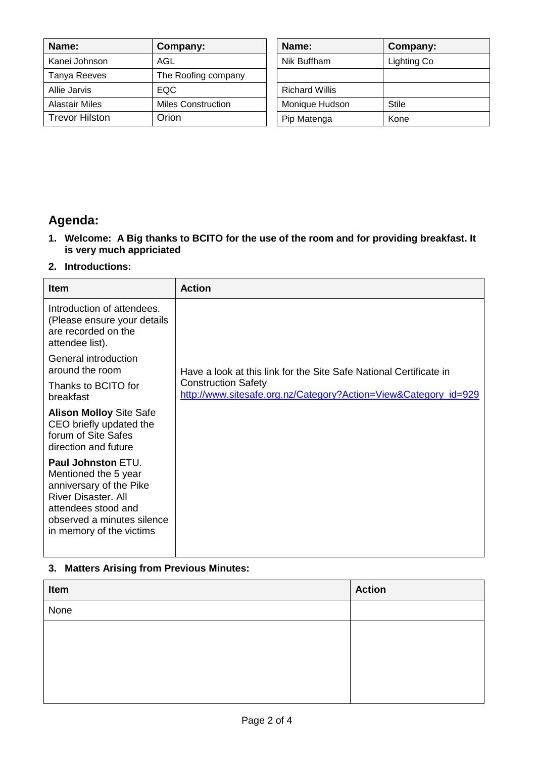| Name:                 | Company:                  | Name:                 | <b>Company:</b> |
|-----------------------|---------------------------|-----------------------|-----------------|
| Kanei Johnson         | AGL                       | Nik Buffham           | Lighting Co     |
| Tanya Reeves          | The Roofing company       |                       |                 |
| Allie Jarvis          | EQC.                      | <b>Richard Willis</b> |                 |
| <b>Alastair Miles</b> | <b>Miles Construction</b> | Monique Hudson        | <b>Stile</b>    |
| <b>Trevor Hilston</b> | Orion                     | Pip Matenga           | Kone            |

| Name:                 | Company:    |
|-----------------------|-------------|
| Nik Buffham           | Lighting Co |
|                       |             |
| <b>Richard Willis</b> |             |
| Monique Hudson        | Stile       |
| Pip Matenga           | Kone        |

# **Agenda:**

- **1. Welcome: A Big thanks to BCITO for the use of the room and for providing breakfast. It is very much appriciated**
- **2. Introductions:**

| <b>Item</b>                                                                                                                                                                                 | <b>Action</b>                                                                                 |
|---------------------------------------------------------------------------------------------------------------------------------------------------------------------------------------------|-----------------------------------------------------------------------------------------------|
| Introduction of attendees.<br>(Please ensure your details<br>are recorded on the<br>attendee list).                                                                                         |                                                                                               |
| General introduction<br>around the room                                                                                                                                                     | Have a look at this link for the Site Safe National Certificate in                            |
| Thanks to BCITO for<br>breakfast                                                                                                                                                            | <b>Construction Safety</b><br>http://www.sitesafe.org.nz/Category?Action=View&Category_id=929 |
| <b>Alison Molloy Site Safe</b><br>CEO briefly updated the<br>forum of Site Safes<br>direction and future                                                                                    |                                                                                               |
| <b>Paul Johnston ETU.</b><br>Mentioned the 5 year<br>anniversary of the Pike<br><b>River Disaster, All</b><br>attendees stood and<br>observed a minutes silence<br>in memory of the victims |                                                                                               |

### **3. Matters Arising from Previous Minutes:**

| Item | <b>Action</b> |
|------|---------------|
| None |               |
|      |               |
|      |               |
|      |               |
|      |               |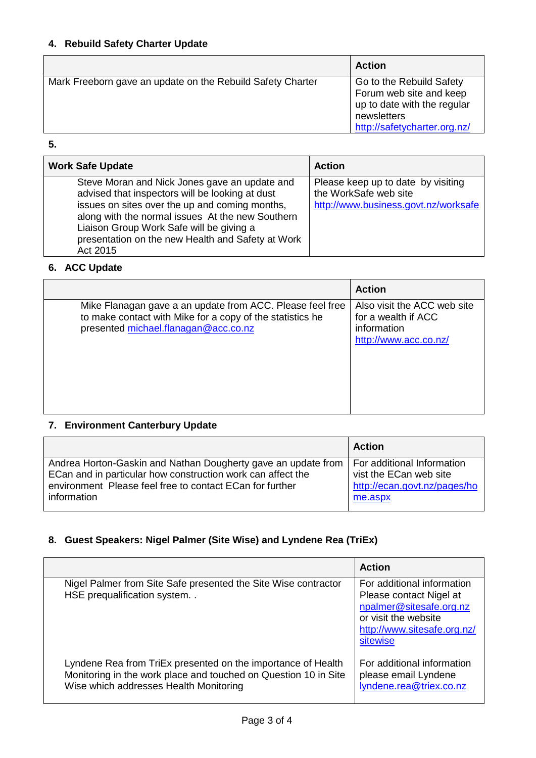| <b>Action</b>                                              |                                                                                                                                   |
|------------------------------------------------------------|-----------------------------------------------------------------------------------------------------------------------------------|
| Mark Freeborn gave an update on the Rebuild Safety Charter | Go to the Rebuild Safety<br>Forum web site and keep<br>up to date with the regular<br>newsletters<br>http://safetycharter.org.nz/ |

### **5.**

| <b>Work Safe Update</b>                                                                                                                                                                                                                                                                                             | <b>Action</b>                                                                                       |
|---------------------------------------------------------------------------------------------------------------------------------------------------------------------------------------------------------------------------------------------------------------------------------------------------------------------|-----------------------------------------------------------------------------------------------------|
| Steve Moran and Nick Jones gave an update and<br>advised that inspectors will be looking at dust<br>issues on sites over the up and coming months,<br>along with the normal issues At the new Southern<br>Liaison Group Work Safe will be giving a<br>presentation on the new Health and Safety at Work<br>Act 2015 | Please keep up to date by visiting<br>the WorkSafe web site<br>http://www.business.govt.nz/worksafe |

#### **6. ACC Update**

|                                                                                                                                                                | <b>Action</b>                                                                              |
|----------------------------------------------------------------------------------------------------------------------------------------------------------------|--------------------------------------------------------------------------------------------|
| Mike Flanagan gave a an update from ACC. Please feel free<br>to make contact with Mike for a copy of the statistics he<br>presented michael.flanagan@acc.co.nz | Also visit the ACC web site<br>for a wealth if ACC<br>information<br>http://www.acc.co.nz/ |

#### **7. Environment Canterbury Update**

|                                                               | <b>Action</b>                |
|---------------------------------------------------------------|------------------------------|
| Andrea Horton-Gaskin and Nathan Dougherty gave an update from | For additional Information   |
| ECan and in particular how construction work can affect the   | vist the ECan web site       |
| environment Please feel free to contact ECan for further      | http://ecan.govt.nz/pages/ho |
| information                                                   | me.aspx                      |

## **8. Guest Speakers: Nigel Palmer (Site Wise) and Lyndene Rea (TriEx)**

|                                                                                                                                                                           | <b>Action</b>                                                                                                                                       |
|---------------------------------------------------------------------------------------------------------------------------------------------------------------------------|-----------------------------------------------------------------------------------------------------------------------------------------------------|
| Nigel Palmer from Site Safe presented the Site Wise contractor<br>HSE prequalification system                                                                             | For additional information<br>Please contact Nigel at<br>npalmer@sitesafe.org.nz<br>or visit the website<br>http://www.sitesafe.org.nz/<br>sitewise |
| Lyndene Rea from TriEx presented on the importance of Health<br>Monitoring in the work place and touched on Question 10 in Site<br>Wise which addresses Health Monitoring | For additional information<br>please email Lyndene<br>lyndene.rea@triex.co.nz                                                                       |